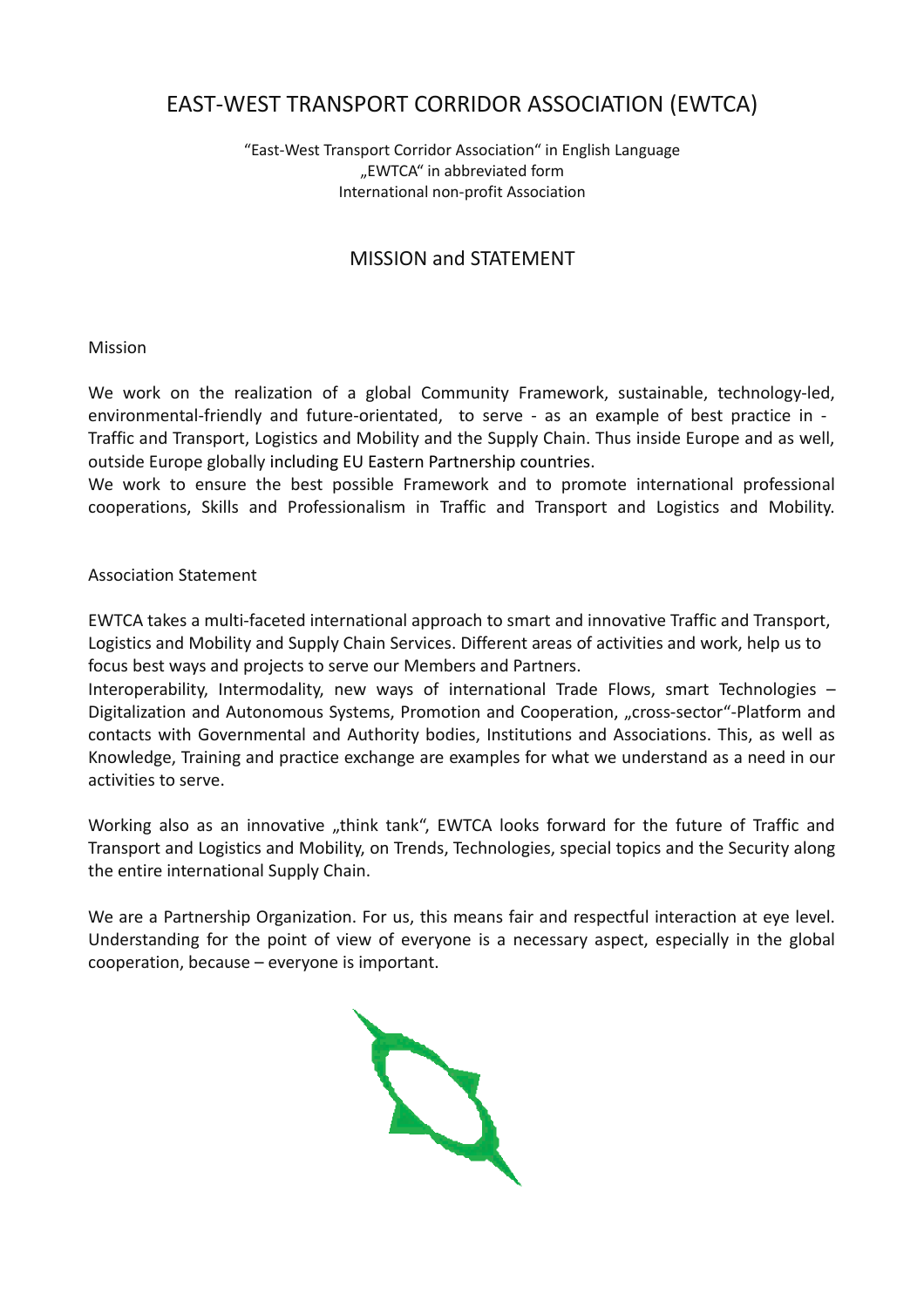# EAST-WEST TRANSPORT CORRIDOR ASSOCIATION (EWTCA)

#### "East-West Transport Corridor Association" in English Language "EWTCA" in abbreviated form International non-profit Association

## MISSION and STATEMENT

#### Mission

We work on the realization of a global Community Framework, sustainable, technology-led, environmental-friendly and future-orientated, to serve - as an example of best practice in -Traffic and Transport, Logistics and Mobility and the Supply Chain. Thus inside Europe and as well, outside Europe globally including EU Eastern Partnership countries.

We work to ensure the best possible Framework and to promote international professional cooperations, Skills and Professionalism in Traffic and Transport and Logistics and Mobility.

#### Association Statement

EWTCA takes a multi-faceted international approach to smart and innovative Traffic and Transport, Logistics and Mobility and Supply Chain Services. Different areas of activities and work, help us to focus best ways and projects to serve our Members and Partners.

Interoperability, Intermodality, new ways of international Trade Flows, smart Technologies – Digitalization and Autonomous Systems, Promotion and Cooperation, "cross-sector"-Platform and contacts with Governmental and Authority bodies, Institutions and Associations. This, as well as Knowledge, Training and practice exchange are examples for what we understand as a need in our activities to serve.

Working also as an innovative "think tank", EWTCA looks forward for the future of Traffic and Transport and Logistics and Mobility, on Trends, Technologies, special topics and the Security along the entire international Supply Chain.

We are a Partnership Organization. For us, this means fair and respectful interaction at eye level. Understanding for the point of view of everyone is a necessary aspect, especially in the global cooperation, because – everyone is important.

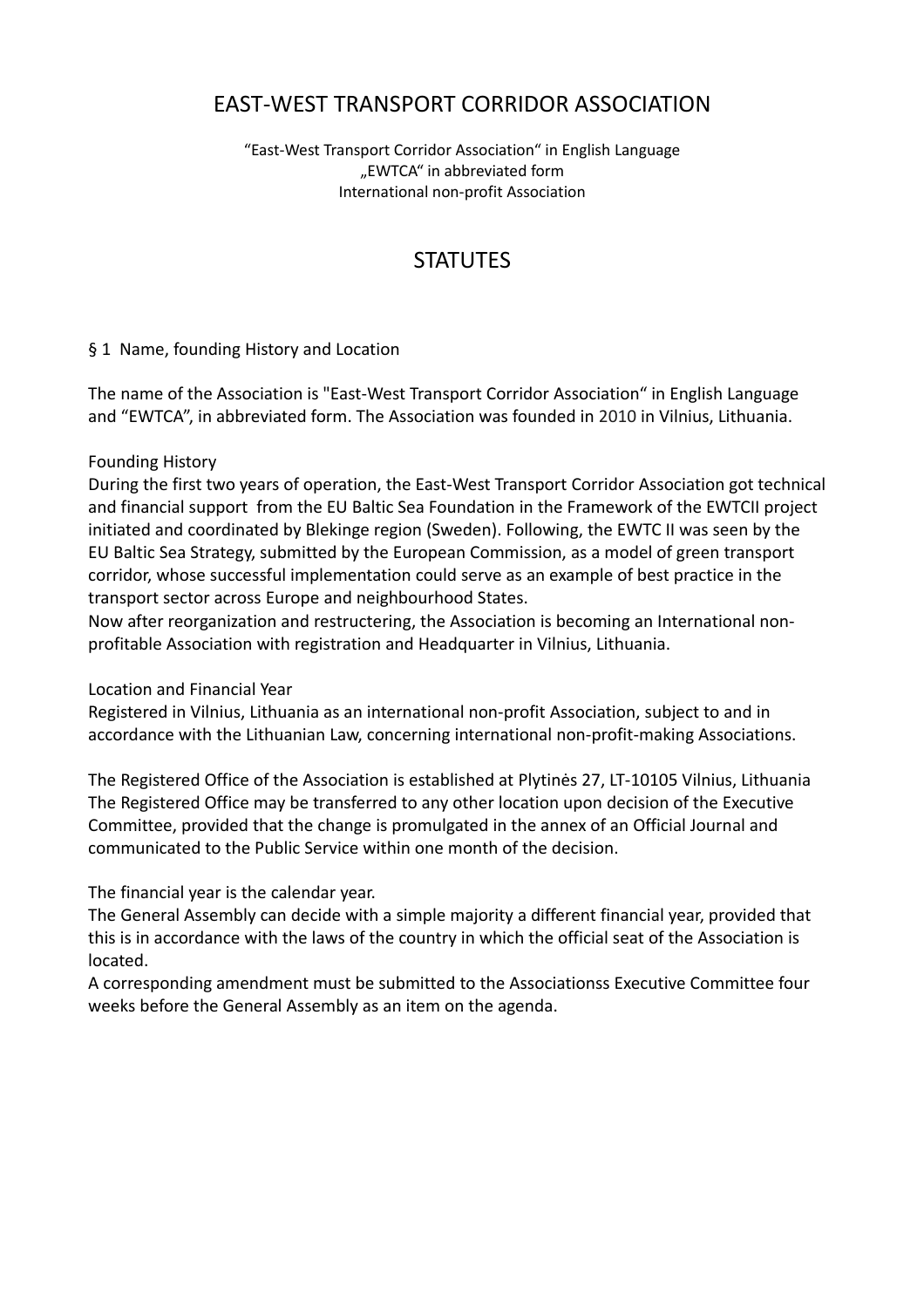# EAST-WEST TRANSPORT CORRIDOR ASSOCIATION

"East-West Transport Corridor Association" in English Language "EWTCA" in abbreviated form International non-profit Association

# **STATUTES**

## § 1 Name, founding History and Location

The name of the Association is "East-West Transport Corridor Association" in English Language and "EWTCA", in abbreviated form. The Association was founded in 2010 in Vilnius, Lithuania.

#### Founding History

During the first two years of operation, the East-West Transport Corridor Association got technical and financial support from the EU Baltic Sea Foundation in the Framework of the EWTCII project initiated and coordinated by Blekinge region (Sweden). Following, the EWTC II was seen by the EU Baltic Sea Strategy, submitted by the European Commission, as a model of green transport corridor, whose successful implementation could serve as an example of best practice in the transport sector across Europe and neighbourhood States.

Now after reorganization and restructering, the Association is becoming an International nonprofitable Association with registration and Headquarter in Vilnius, Lithuania.

Location and Financial Year

Registered in Vilnius, Lithuania as an international non-profit Association, subject to and in accordance with the Lithuanian Law, concerning international non-profit-making Associations.

The Registered Office of the Association is established at Plytinės 27, LT-10105 Vilnius, Lithuania The Registered Office may be transferred to any other location upon decision of the Executive Committee, provided that the change is promulgated in the annex of an Official Journal and communicated to the Public Service within one month of the decision.

The financial year is the calendar year.

The General Assembly can decide with a simple majority a different financial year, provided that this is in accordance with the laws of the country in which the official seat of the Association is located.

A corresponding amendment must be submitted to the Associationss Executive Committee four weeks before the General Assembly as an item on the agenda.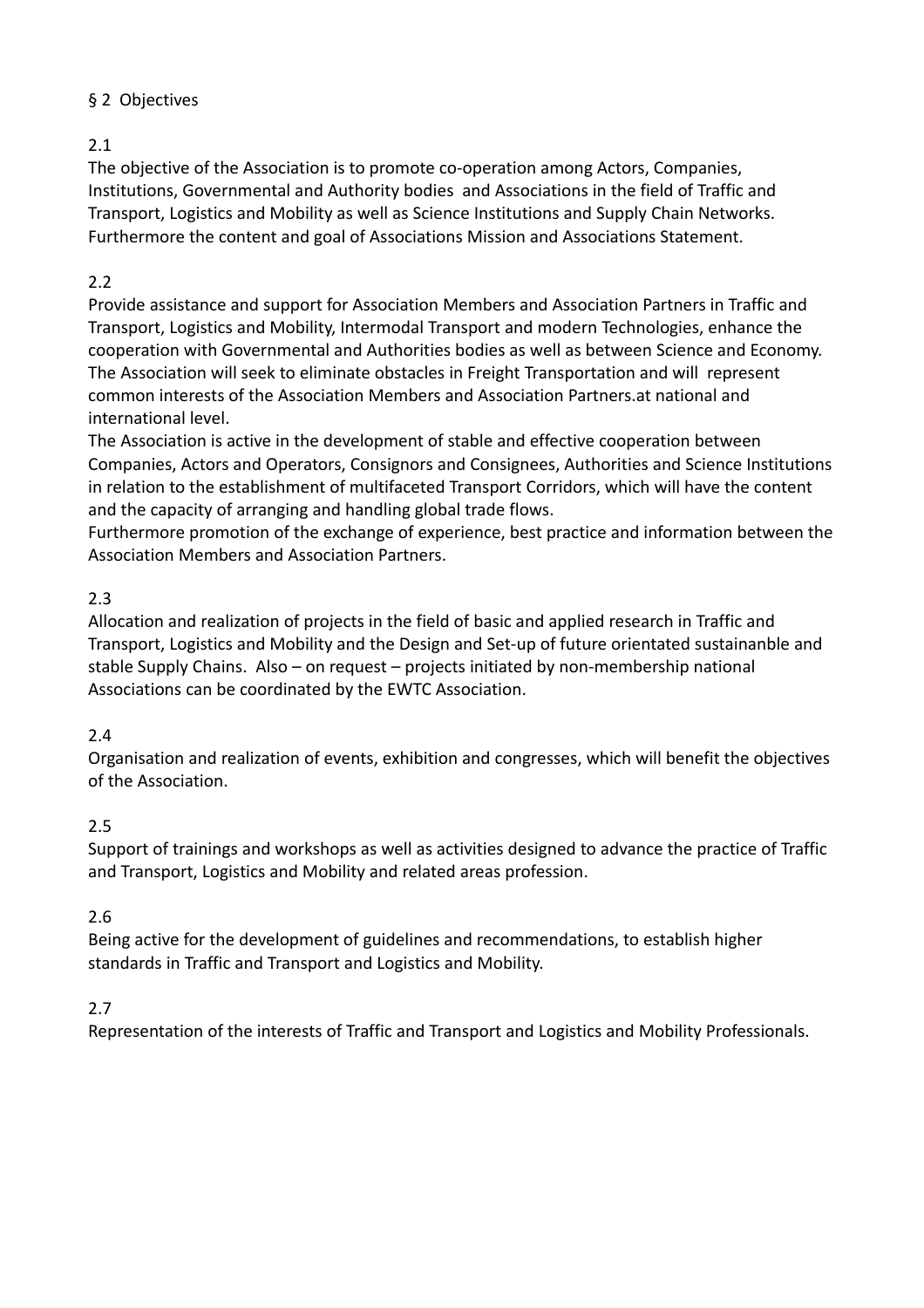# § 2 Objectives

# 2.1

The objective of the Association is to promote co-operation among Actors, Companies, Institutions, Governmental and Authority bodies and Associations in the field of Traffic and Transport, Logistics and Mobility as well as Science Institutions and Supply Chain Networks. Furthermore the content and goal of Associations Mission and Associations Statement.

# 2.2

Provide assistance and support for Association Members and Association Partners in Traffic and Transport, Logistics and Mobility, Intermodal Transport and modern Technologies, enhance the cooperation with Governmental and Authorities bodies as well as between Science and Economy. The Association will seek to eliminate obstacles in Freight Transportation and will represent common interests of the Association Members and Association Partners.at national and international level.

The Association is active in the development of stable and effective cooperation between Companies, Actors and Operators, Consignors and Consignees, Authorities and Science Institutions in relation to the establishment of multifaceted Transport Corridors, which will have the content and the capacity of arranging and handling global trade flows.

Furthermore promotion of the exchange of experience, best practice and information between the Association Members and Association Partners.

# 2.3

Allocation and realization of projects in the field of basic and applied research in Traffic and Transport, Logistics and Mobility and the Design and Set-up of future orientated sustainanble and stable Supply Chains. Also – on request – projects initiated by non-membership national Associations can be coordinated by the EWTC Association.

# 2.4

Organisation and realization of events, exhibition and congresses, which will benefit the objectives of the Association.

# 2.5

Support of trainings and workshops as well as activities designed to advance the practice of Traffic and Transport, Logistics and Mobility and related areas profession.

# 2.6

Being active for the development of guidelines and recommendations, to establish higher standards in Traffic and Transport and Logistics and Mobility.

# 2.7

Representation of the interests of Traffic and Transport and Logistics and Mobility Professionals.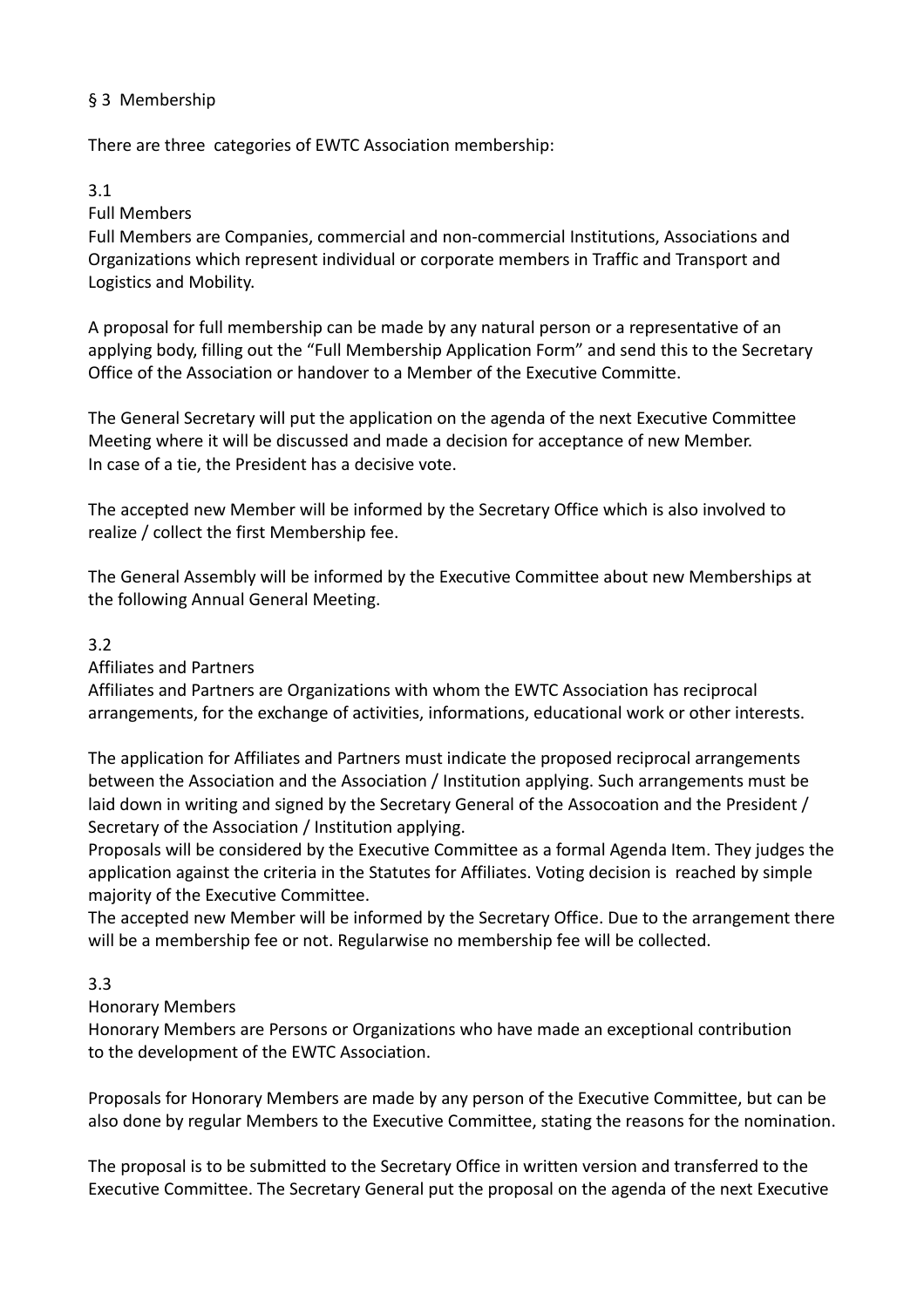## § 3 Membership

There are three categories of EWTC Association membership:

## 3.1

## Full Members

Full Members are Companies, commercial and non-commercial Institutions, Associations and Organizations which represent individual or corporate members in Traffic and Transport and Logistics and Mobility.

A proposal for full membership can be made by any natural person or a representative of an applying body, filling out the "Full Membership Application Form" and send this to the Secretary Office of the Association or handover to a Member of the Executive Committe.

The General Secretary will put the application on the agenda of the next Executive Committee Meeting where it will be discussed and made a decision for acceptance of new Member. In case of a tie, the President has a decisive vote.

The accepted new Member will be informed by the Secretary Office which is also involved to realize / collect the first Membership fee.

The General Assembly will be informed by the Executive Committee about new Memberships at the following Annual General Meeting.

## 3.2

# Affiliates and Partners

Affiliates and Partners are Organizations with whom the EWTC Association has reciprocal arrangements, for the exchange of activities, informations, educational work or other interests.

The application for Affiliates and Partners must indicate the proposed reciprocal arrangements between the Association and the Association / Institution applying. Such arrangements must be laid down in writing and signed by the Secretary General of the Assocoation and the President / Secretary of the Association / Institution applying.

Proposals will be considered by the Executive Committee as a formal Agenda Item. They judges the application against the criteria in the Statutes for Affiliates. Voting decision is reached by simple majority of the Executive Committee.

The accepted new Member will be informed by the Secretary Office. Due to the arrangement there will be a membership fee or not. Regularwise no membership fee will be collected.

## 3.3

# Honorary Members

Honorary Members are Persons or Organizations who have made an exceptional contribution to the development of the EWTC Association.

Proposals for Honorary Members are made by any person of the Executive Committee, but can be also done by regular Members to the Executive Committee, stating the reasons for the nomination.

The proposal is to be submitted to the Secretary Office in written version and transferred to the Executive Committee. The Secretary General put the proposal on the agenda of the next Executive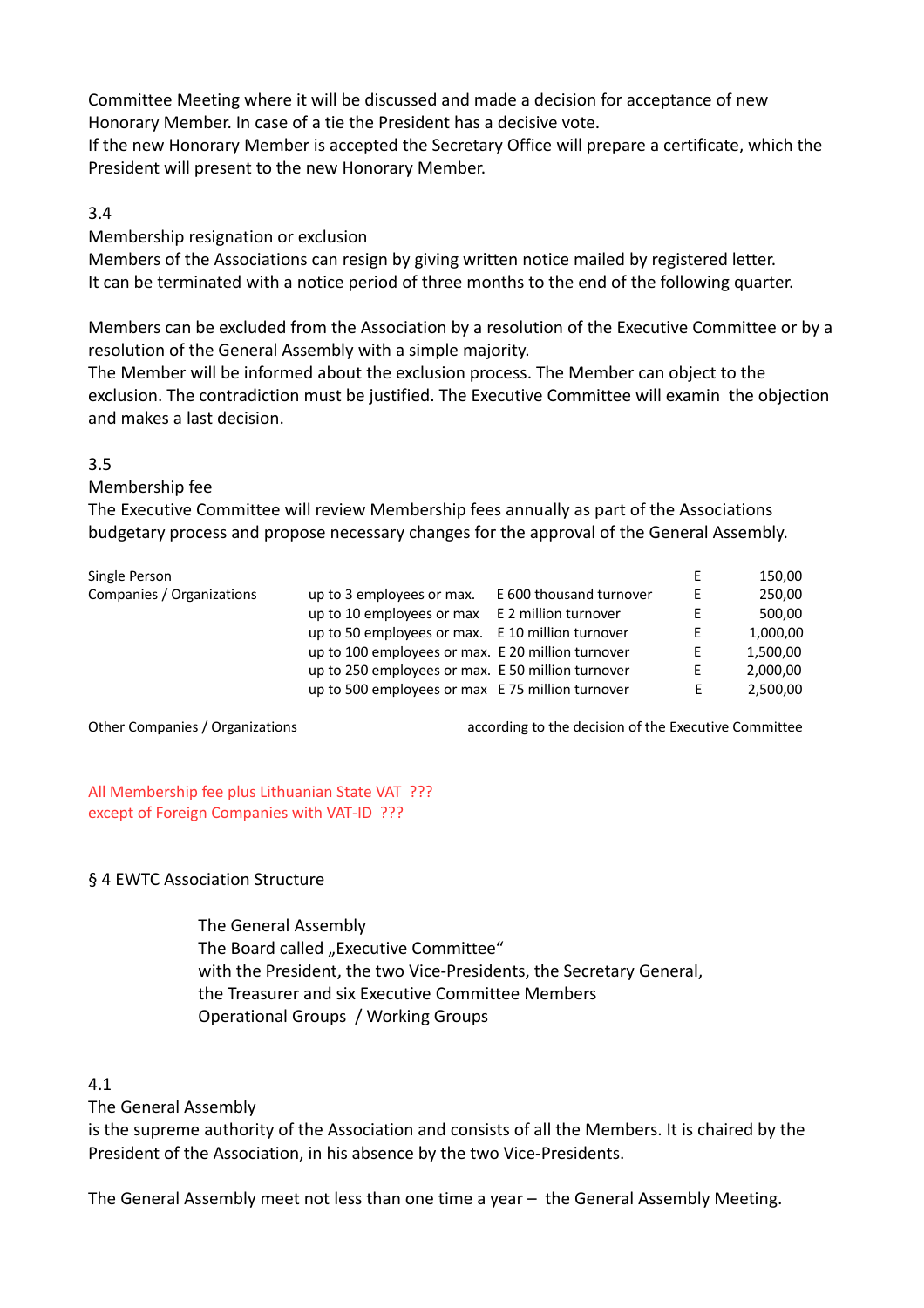Committee Meeting where it will be discussed and made a decision for acceptance of new Honorary Member. In case of a tie the President has a decisive vote.

If the new Honorary Member is accepted the Secretary Office will prepare a certificate, which the President will present to the new Honorary Member.

#### 3.4

Membership resignation or exclusion

Members of the Associations can resign by giving written notice mailed by registered letter. It can be terminated with a notice period of three months to the end of the following quarter.

Members can be excluded from the Association by a resolution of the Executive Committee or by a resolution of the General Assembly with a simple majority.

The Member will be informed about the exclusion process. The Member can object to the exclusion. The contradiction must be justified. The Executive Committee will examin the objection and makes a last decision.

#### 3.5

Membership fee

The Executive Committee will review Membership fees annually as part of the Associations budgetary process and propose necessary changes for the approval of the General Assembly.

|                                                        |                         | E                                                                                                                                                                                                              | 150,00   |
|--------------------------------------------------------|-------------------------|----------------------------------------------------------------------------------------------------------------------------------------------------------------------------------------------------------------|----------|
| Companies / Organizations<br>up to 3 employees or max. | E 600 thousand turnover | F.                                                                                                                                                                                                             | 250,00   |
| up to 10 employees or max                              | E 2 million turnover    | E.                                                                                                                                                                                                             | 500,00   |
|                                                        |                         | E.                                                                                                                                                                                                             | 1,000,00 |
|                                                        |                         | E                                                                                                                                                                                                              | 1,500,00 |
|                                                        |                         | E.                                                                                                                                                                                                             | 2,000,00 |
|                                                        |                         | F.                                                                                                                                                                                                             | 2,500,00 |
|                                                        |                         | up to 50 employees or max. E 10 million turnover<br>up to 100 employees or max. E 20 million turnover<br>up to 250 employees or max. E 50 million turnover<br>up to 500 employees or max E 75 million turnover |          |

Other Companies / Organizations according to the decision of the Executive Committee

All Membership fee plus Lithuanian State VAT ??? except of Foreign Companies with VAT-ID ???

## § 4 EWTC Association Structure

The General Assembly The Board called "Executive Committee" with the President, the two Vice-Presidents, the Secretary General, the Treasurer and six Executive Committee Members Operational Groups / Working Groups

## 4.1

The General Assembly

is the supreme authority of the Association and consists of all the Members. It is chaired by the President of the Association, in his absence by the two Vice-Presidents.

The General Assembly meet not less than one time a year – the General Assembly Meeting.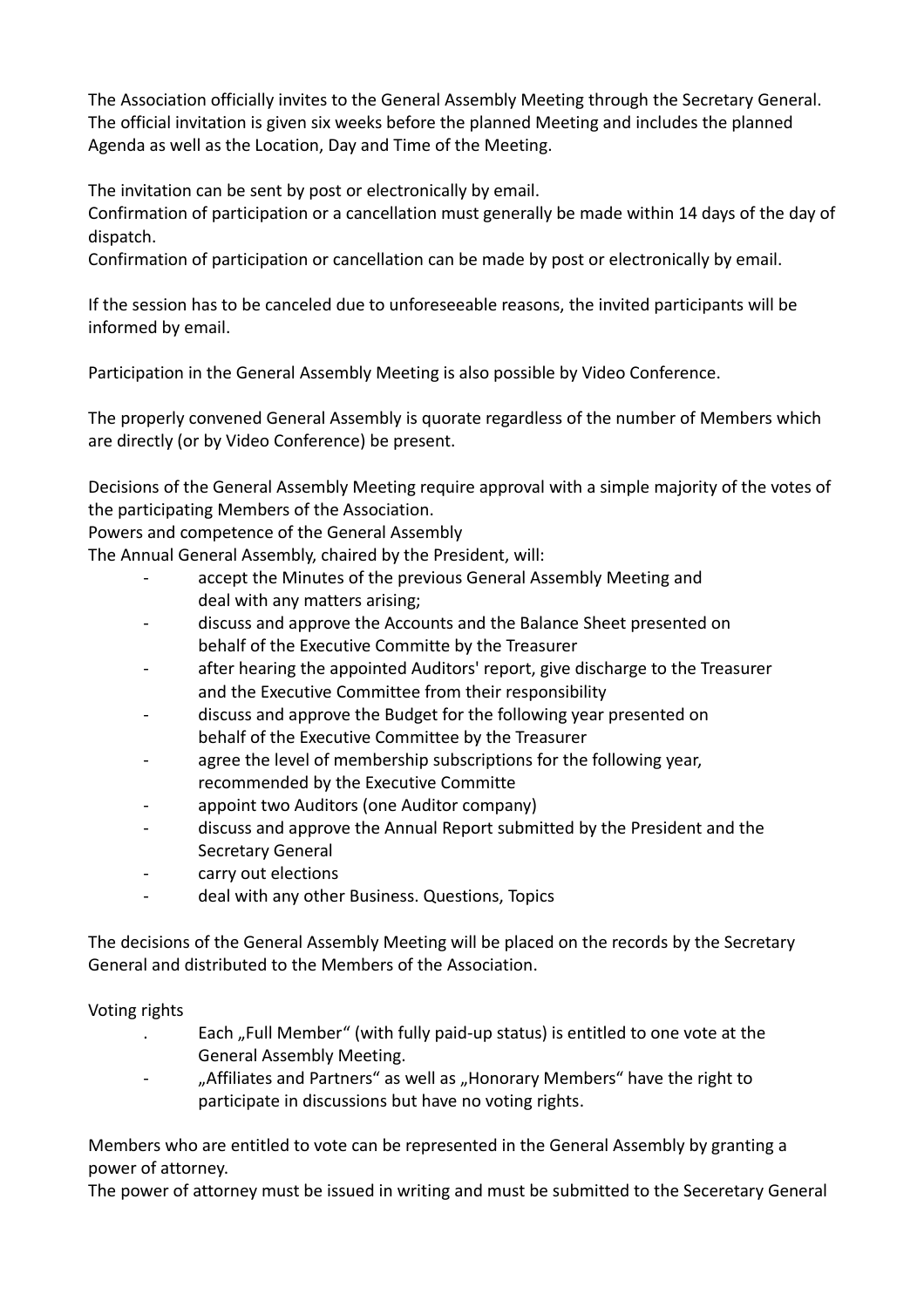The Association officially invites to the General Assembly Meeting through the Secretary General. The official invitation is given six weeks before the planned Meeting and includes the planned Agenda as well as the Location, Day and Time of the Meeting.

The invitation can be sent by post or electronically by email.

Confirmation of participation or a cancellation must generally be made within 14 days of the day of dispatch.

Confirmation of participation or cancellation can be made by post or electronically by email.

If the session has to be canceled due to unforeseeable reasons, the invited participants will be informed by email.

Participation in the General Assembly Meeting is also possible by Video Conference.

The properly convened General Assembly is quorate regardless of the number of Members which are directly (or by Video Conference) be present.

Decisions of the General Assembly Meeting require approval with a simple majority of the votes of the participating Members of the Association.

Powers and competence of the General Assembly

The Annual General Assembly, chaired by the President, will:

- accept the Minutes of the previous General Assembly Meeting and deal with any matters arising;
- discuss and approve the Accounts and the Balance Sheet presented on behalf of the Executive Committe by the Treasurer
- after hearing the appointed Auditors' report, give discharge to the Treasurer and the Executive Committee from their responsibility
- discuss and approve the Budget for the following year presented on behalf of the Executive Committee by the Treasurer
- agree the level of membership subscriptions for the following year, recommended by the Executive Committe
- appoint two Auditors (one Auditor company)
- discuss and approve the Annual Report submitted by the President and the Secretary General
- carry out elections
- deal with any other Business. Questions, Topics

The decisions of the General Assembly Meeting will be placed on the records by the Secretary General and distributed to the Members of the Association.

## Voting rights

- . Each "Full Member" (with fully paid‐up status) is entitled to one vote at the General Assembly Meeting.
- "Affiliates and Partners" as well as "Honorary Members" have the right to participate in discussions but have no voting rights.

Members who are entitled to vote can be represented in the General Assembly by granting a power of attorney.

The power of attorney must be issued in writing and must be submitted to the Seceretary General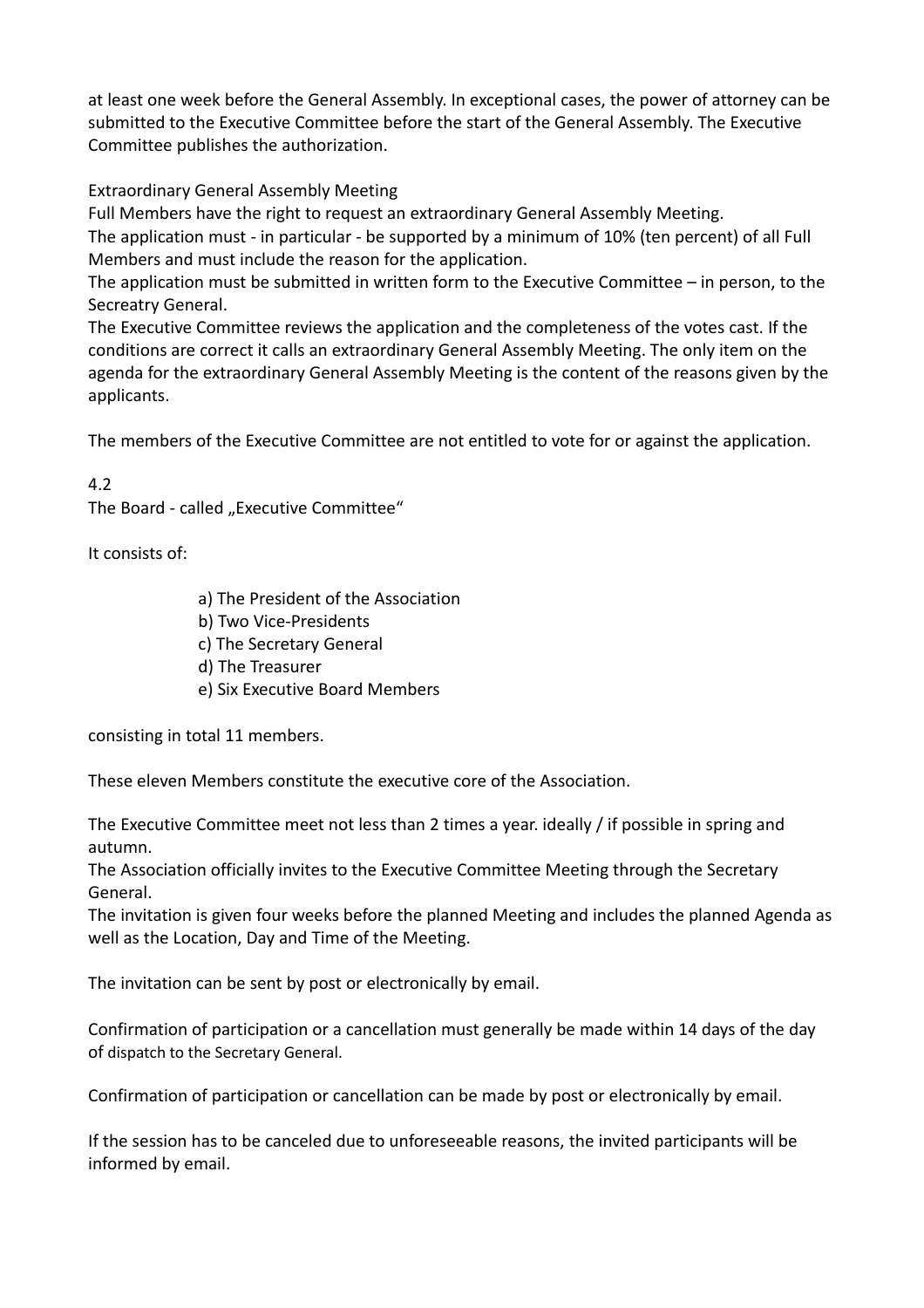at least one week before the General Assembly. In exceptional cases, the power of attorney can be submitted to the Executive Committee before the start of the General Assembly. The Executive Committee publishes the authorization.

Extraordinary General Assembly Meeting

Full Members have the right to request an extraordinary General Assembly Meeting. The application must - in particular - be supported by a minimum of 10% (ten percent) of all Full Members and must include the reason for the application.

The application must be submitted in written form to the Executive Committee – in person, to the Secreatry General.

The Executive Committee reviews the application and the completeness of the votes cast. If the conditions are correct it calls an extraordinary General Assembly Meeting. The only item on the agenda for the extraordinary General Assembly Meeting is the content of the reasons given by the applicants.

The members of the Executive Committee are not entitled to vote for or against the application.

# 4.2

The Board - called "Executive Committee"

It consists of:

- a) The President of the Association
- b) Two Vice-Presidents
- c) The Secretary General
- d) The Treasurer
- e) Six Executive Board Members

consisting in total 11 members.

These eleven Members constitute the executive core of the Association.

The Executive Committee meet not less than 2 times a year. ideally / if possible in spring and autumn.

The Association officially invites to the Executive Committee Meeting through the Secretary General.

The invitation is given four weeks before the planned Meeting and includes the planned Agenda as well as the Location, Day and Time of the Meeting.

The invitation can be sent by post or electronically by email.

Confirmation of participation or a cancellation must generally be made within 14 days of the day of dispatch to the Secretary General.

Confirmation of participation or cancellation can be made by post or electronically by email.

If the session has to be canceled due to unforeseeable reasons, the invited participants will be informed by email.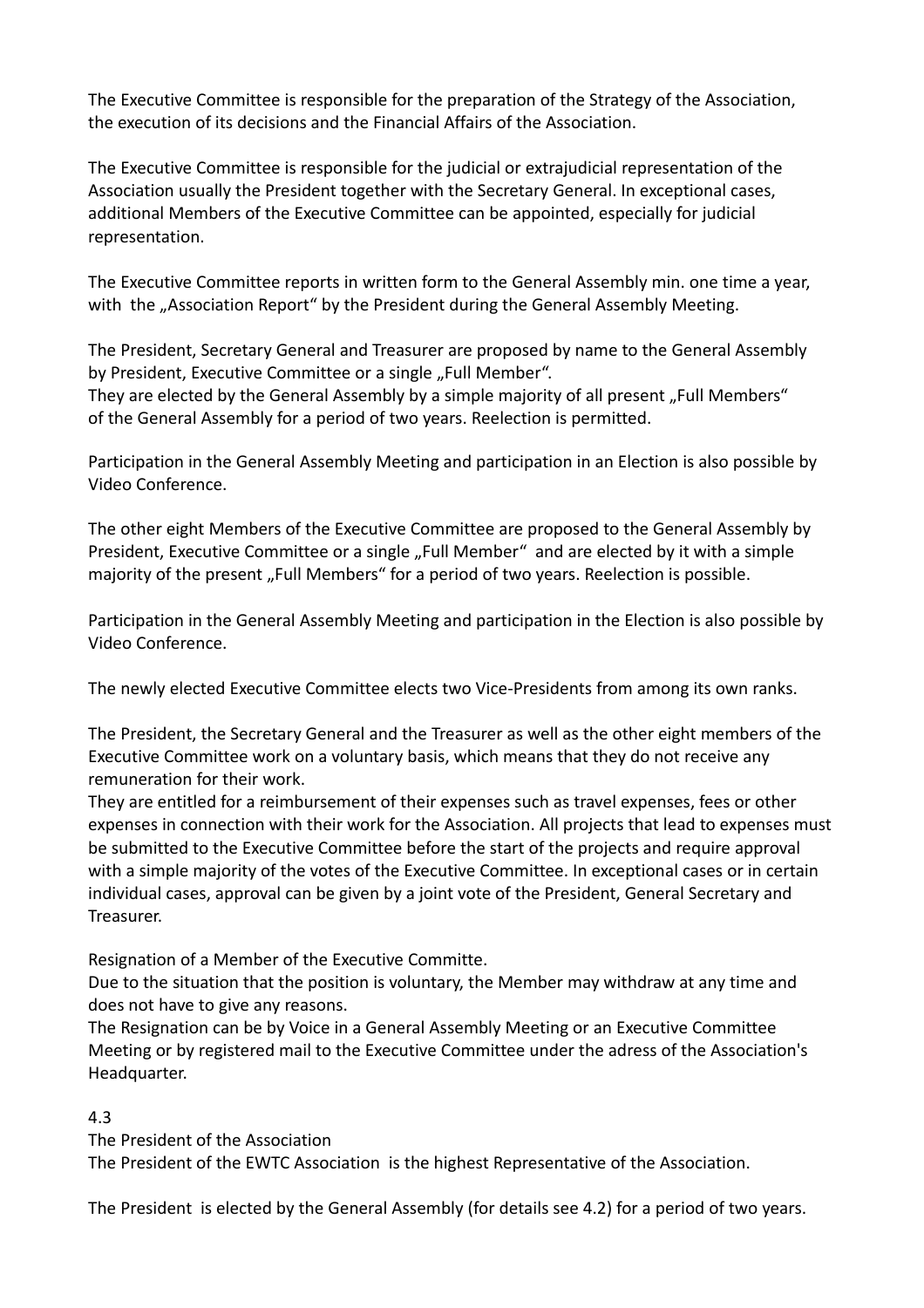The Executive Committee is responsible for the preparation of the Strategy of the Association, the execution of its decisions and the Financial Affairs of the Association.

The Executive Committee is responsible for the judicial or extrajudicial representation of the Association usually the President together with the Secretary General. In exceptional cases, additional Members of the Executive Committee can be appointed, especially for judicial representation.

The Executive Committee reports in written form to the General Assembly min. one time a year, with the "Association Report" by the President during the General Assembly Meeting.

The President, Secretary General and Treasurer are proposed by name to the General Assembly by President, Executive Committee or a single "Full Member".

They are elected by the General Assembly by a simple majority of all present "Full Members" of the General Assembly for a period of two years. Reelection is permitted.

Participation in the General Assembly Meeting and participation in an Election is also possible by Video Conference.

The other eight Members of the Executive Committee are proposed to the General Assembly by President, Executive Committee or a single "Full Member" and are elected by it with a simple majority of the present "Full Members" for a period of two years. Reelection is possible.

Participation in the General Assembly Meeting and participation in the Election is also possible by Video Conference.

The newly elected Executive Committee elects two Vice-Presidents from among its own ranks.

The President, the Secretary General and the Treasurer as well as the other eight members of the Executive Committee work on a voluntary basis, which means that they do not receive any remuneration for their work.

They are entitled for a reimbursement of their expenses such as travel expenses, fees or other expenses in connection with their work for the Association. All projects that lead to expenses must be submitted to the Executive Committee before the start of the projects and require approval with a simple majority of the votes of the Executive Committee. In exceptional cases or in certain individual cases, approval can be given by a joint vote of the President, General Secretary and Treasurer.

Resignation of a Member of the Executive Committe.

Due to the situation that the position is voluntary, the Member may withdraw at any time and does not have to give any reasons.

The Resignation can be by Voice in a General Assembly Meeting or an Executive Committee Meeting or by registered mail to the Executive Committee under the adress of the Association's Headquarter.

## 4.3

The President of the Association

The President of the EWTC Association is the highest Representative of the Association.

The President is elected by the General Assembly (for details see 4.2) for a period of two years.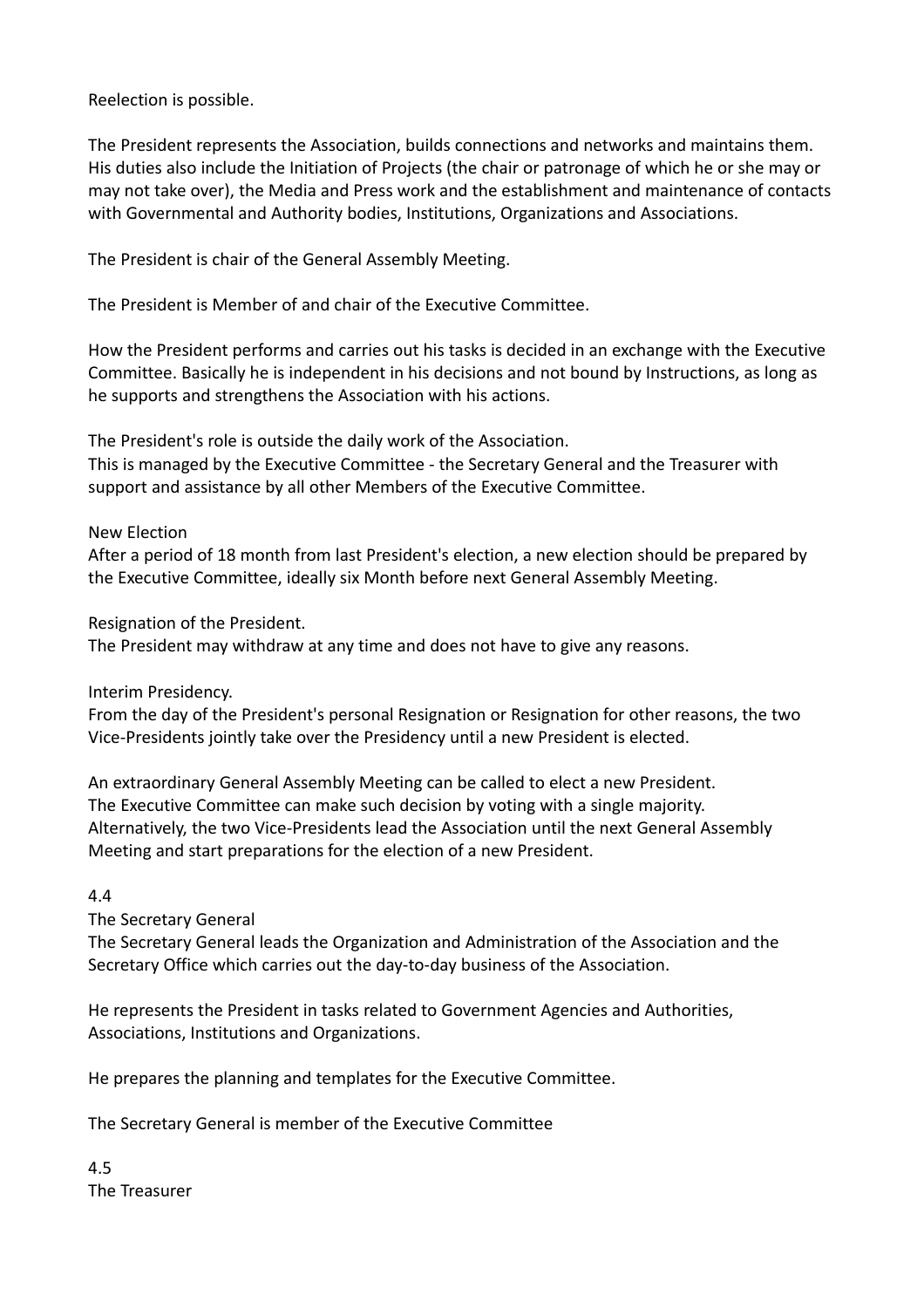Reelection is possible.

The President represents the Association, builds connections and networks and maintains them. His duties also include the Initiation of Projects (the chair or patronage of which he or she may or may not take over), the Media and Press work and the establishment and maintenance of contacts with Governmental and Authority bodies, Institutions, Organizations and Associations.

The President is chair of the General Assembly Meeting.

The President is Member of and chair of the Executive Committee.

How the President performs and carries out his tasks is decided in an exchange with the Executive Committee. Basically he is independent in his decisions and not bound by Instructions, as long as he supports and strengthens the Association with his actions.

The President's role is outside the daily work of the Association.

This is managed by the Executive Committee - the Secretary General and the Treasurer with support and assistance by all other Members of the Executive Committee.

New Election

After a period of 18 month from last President's election, a new election should be prepared by the Executive Committee, ideally six Month before next General Assembly Meeting.

Resignation of the President.

The President may withdraw at any time and does not have to give any reasons.

Interim Presidency.

From the day of the President's personal Resignation or Resignation for other reasons, the two Vice-Presidents jointly take over the Presidency until a new President is elected.

An extraordinary General Assembly Meeting can be called to elect a new President. The Executive Committee can make such decision by voting with a single majority. Alternatively, the two Vice-Presidents lead the Association until the next General Assembly Meeting and start preparations for the election of a new President.

4.4

The Secretary General

The Secretary General leads the Organization and Administration of the Association and the Secretary Office which carries out the day-to-day business of the Association.

He represents the President in tasks related to Government Agencies and Authorities, Associations, Institutions and Organizations.

He prepares the planning and templates for the Executive Committee.

The Secretary General is member of the Executive Committee

4.5 The Treasurer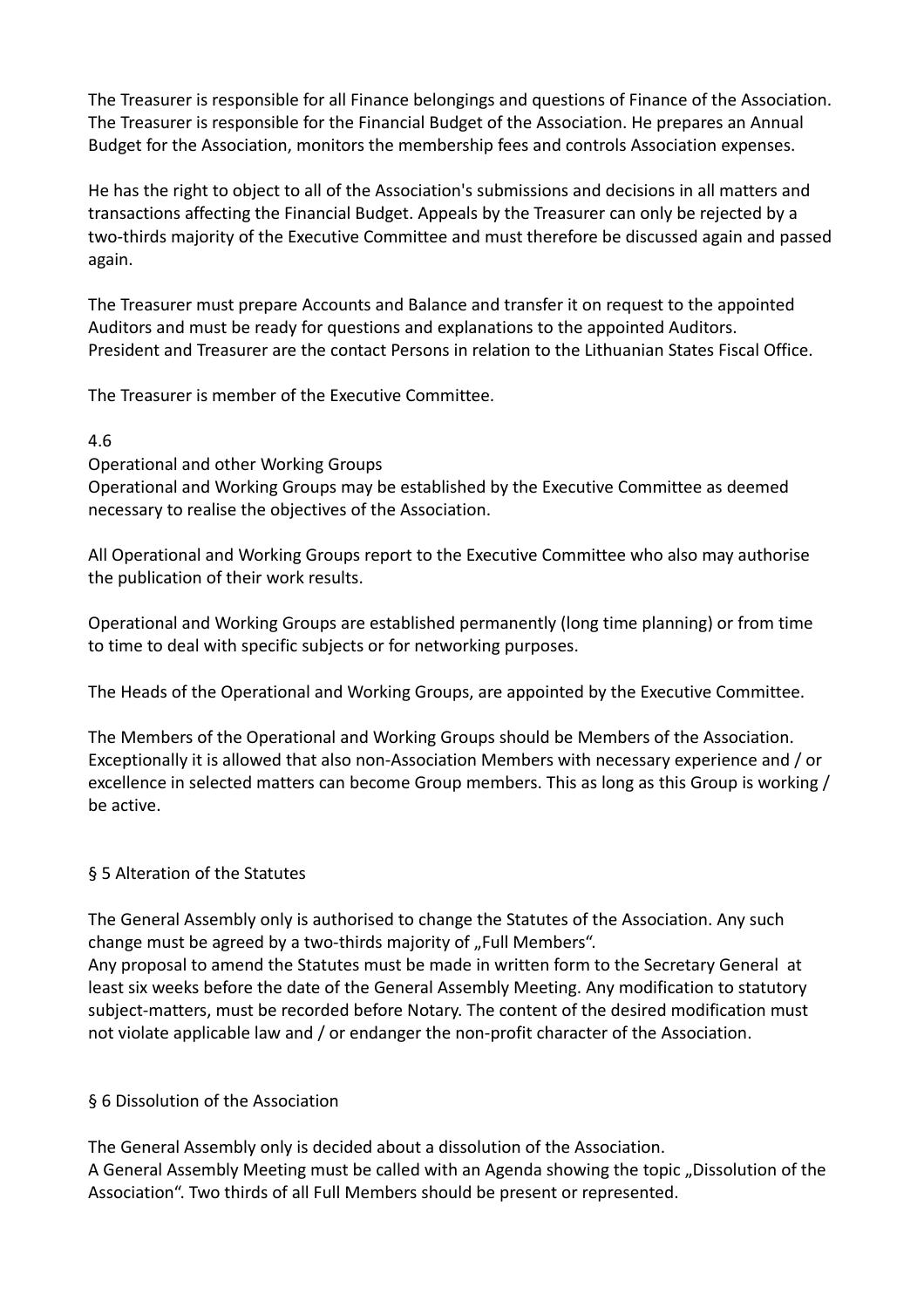The Treasurer is responsible for all Finance belongings and questions of Finance of the Association. The Treasurer is responsible for the Financial Budget of the Association. He prepares an Annual Budget for the Association, monitors the membership fees and controls Association expenses.

He has the right to object to all of the Association's submissions and decisions in all matters and transactions affecting the Financial Budget. Appeals by the Treasurer can only be rejected by a two-thirds majority of the Executive Committee and must therefore be discussed again and passed again.

The Treasurer must prepare Accounts and Balance and transfer it on request to the appointed Auditors and must be ready for questions and explanations to the appointed Auditors. President and Treasurer are the contact Persons in relation to the Lithuanian States Fiscal Office.

The Treasurer is member of the Executive Committee.

#### 4.6

Operational and other Working Groups

Operational and Working Groups may be established by the Executive Committee as deemed necessary to realise the objectives of the Association.

All Operational and Working Groups report to the Executive Committee who also may authorise the publication of their work results.

Operational and Working Groups are established permanently (long time planning) or from time to time to deal with specific subjects or for networking purposes.

The Heads of the Operational and Working Groups, are appointed by the Executive Committee.

The Members of the Operational and Working Groups should be Members of the Association. Exceptionally it is allowed that also non-Association Members with necessary experience and / or excellence in selected matters can become Group members. This as long as this Group is working / be active.

#### § 5 Alteration of the Statutes

The General Assembly only is authorised to change the Statutes of the Association. Any such change must be agreed by a two-thirds majority of "Full Members".

Any proposal to amend the Statutes must be made in written form to the Secretary General at least six weeks before the date of the General Assembly Meeting. Any modification to statutory subject-matters, must be recorded before Notary. The content of the desired modification must not violate applicable law and / or endanger the non-profit character of the Association.

#### § 6 Dissolution of the Association

The General Assembly only is decided about a dissolution of the Association. A General Assembly Meeting must be called with an Agenda showing the topic "Dissolution of the Association". Two thirds of all Full Members should be present or represented.